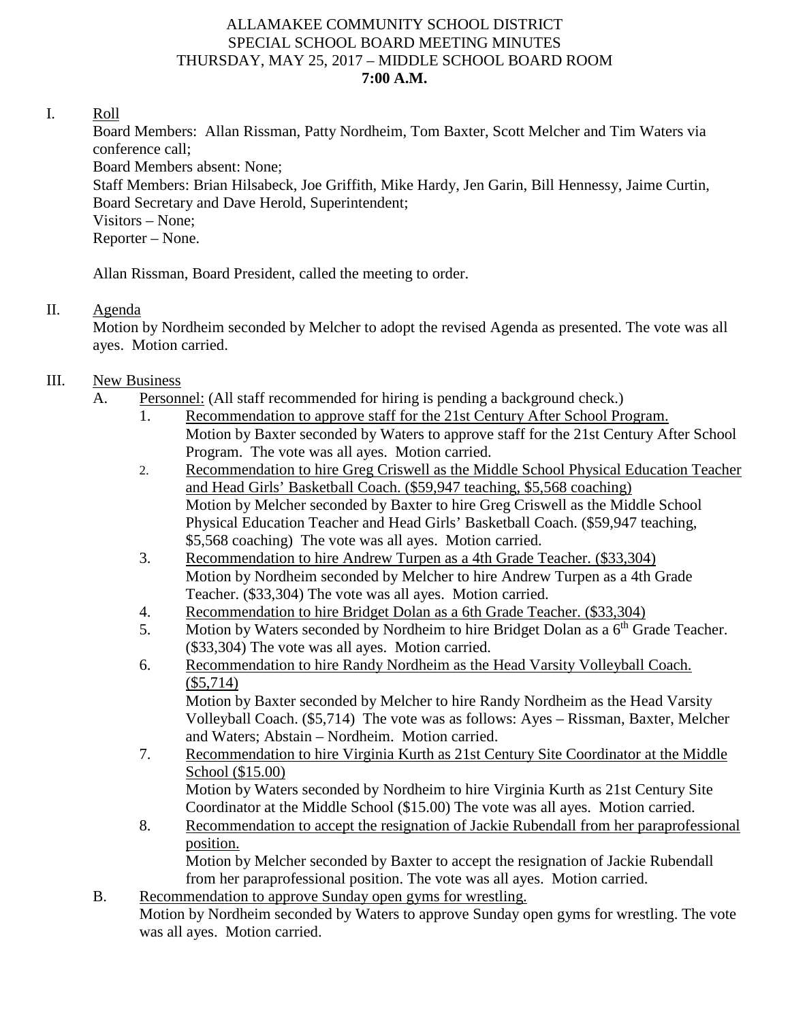### ALLAMAKEE COMMUNITY SCHOOL DISTRICT SPECIAL SCHOOL BOARD MEETING MINUTES THURSDAY, MAY 25, 2017 – MIDDLE SCHOOL BOARD ROOM **7:00 A.M.**

#### I. Roll

Board Members: Allan Rissman, Patty Nordheim, Tom Baxter, Scott Melcher and Tim Waters via conference call; Board Members absent: None; Staff Members: Brian Hilsabeck, Joe Griffith, Mike Hardy, Jen Garin, Bill Hennessy, Jaime Curtin, Board Secretary and Dave Herold, Superintendent; Visitors – None; Reporter – None.

Allan Rissman, Board President, called the meeting to order.

### II. Agenda

Motion by Nordheim seconded by Melcher to adopt the revised Agenda as presented. The vote was all ayes. Motion carried.

## III. New Business

- A. Personnel: (All staff recommended for hiring is pending a background check.)
	- 1. Recommendation to approve staff for the 21st Century After School Program. Motion by Baxter seconded by Waters to approve staff for the 21st Century After School Program. The vote was all ayes. Motion carried.
	- 2. Recommendation to hire Greg Criswell as the Middle School Physical Education Teacher and Head Girls' Basketball Coach. (\$59,947 teaching, \$5,568 coaching) Motion by Melcher seconded by Baxter to hire Greg Criswell as the Middle School Physical Education Teacher and Head Girls' Basketball Coach. (\$59,947 teaching, \$5,568 coaching) The vote was all ayes. Motion carried.
	- 3. Recommendation to hire Andrew Turpen as a 4th Grade Teacher. (\$33,304) Motion by Nordheim seconded by Melcher to hire Andrew Turpen as a 4th Grade Teacher. (\$33,304) The vote was all ayes. Motion carried.
	- 4. Recommendation to hire Bridget Dolan as a 6th Grade Teacher. (\$33,304)
	- 5. Motion by Waters seconded by Nordheim to hire Bridget Dolan as a  $6<sup>th</sup>$  Grade Teacher. (\$33,304) The vote was all ayes. Motion carried.
	- 6. Recommendation to hire Randy Nordheim as the Head Varsity Volleyball Coach. (\$5,714)

Motion by Baxter seconded by Melcher to hire Randy Nordheim as the Head Varsity Volleyball Coach. (\$5,714) The vote was as follows: Ayes – Rissman, Baxter, Melcher and Waters; Abstain – Nordheim. Motion carried.

- 7. Recommendation to hire Virginia Kurth as 21st Century Site Coordinator at the Middle School (\$15.00) Motion by Waters seconded by Nordheim to hire Virginia Kurth as 21st Century Site Coordinator at the Middle School (\$15.00) The vote was all ayes. Motion carried.
- 8. Recommendation to accept the resignation of Jackie Rubendall from her paraprofessional position. Motion by Melcher seconded by Baxter to accept the resignation of Jackie Rubendall from her paraprofessional position. The vote was all ayes. Motion carried.
- B. Recommendation to approve Sunday open gyms for wrestling. Motion by Nordheim seconded by Waters to approve Sunday open gyms for wrestling. The vote was all ayes. Motion carried.